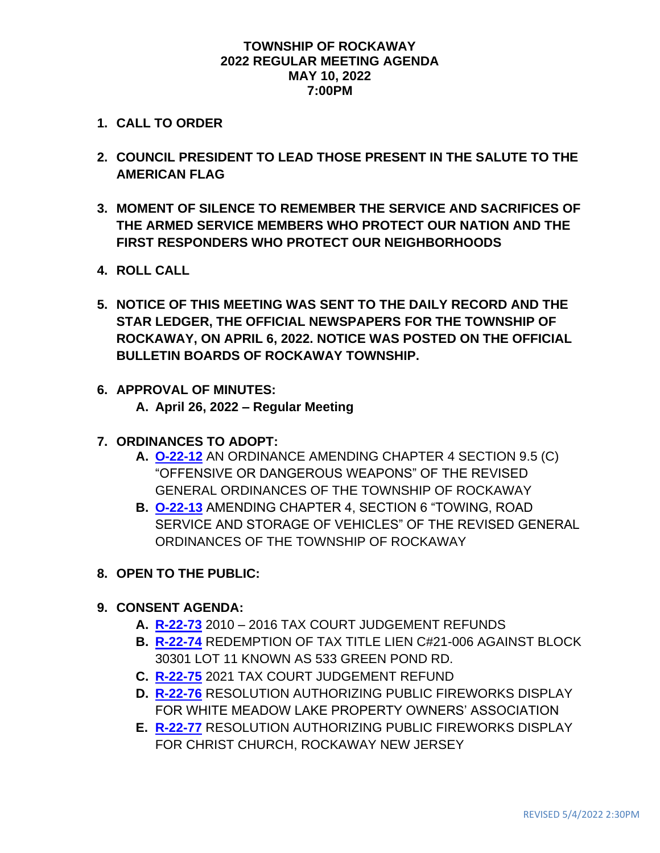### **TOWNSHIP OF ROCKAWAY 2022 REGULAR MEETING AGENDA MAY 10, 2022 7:00PM**

- **1. CALL TO ORDER**
- **2. COUNCIL PRESIDENT TO LEAD THOSE PRESENT IN THE SALUTE TO THE AMERICAN FLAG**
- **3. MOMENT OF SILENCE TO REMEMBER THE SERVICE AND SACRIFICES OF THE ARMED SERVICE MEMBERS WHO PROTECT OUR NATION AND THE FIRST RESPONDERS WHO PROTECT OUR NEIGHBORHOODS**
- **4. ROLL CALL**
- **5. NOTICE OF THIS MEETING WAS SENT TO THE DAILY RECORD AND THE STAR LEDGER, THE OFFICIAL NEWSPAPERS FOR THE TOWNSHIP OF ROCKAWAY, ON APRIL 6, 2022. NOTICE WAS POSTED ON THE OFFICIAL BULLETIN BOARDS OF ROCKAWAY TOWNSHIP.**
- **6. APPROVAL OF MINUTES: A. April 26, 2022 – Regular Meeting**
- **7. ORDINANCES TO ADOPT:**
	- **A. [O-22-12](https://www.rockawaytownship.org/DocumentCenter/View/8343/O-22-12-2022-Proposed-Firearm-ordinance-amendment_)** AN ORDINANCE AMENDING CHAPTER 4 SECTION 9.5 (C) "OFFENSIVE OR DANGEROUS WEAPONS" OF THE REVISED GENERAL ORDINANCES OF THE TOWNSHIP OF ROCKAWAY
	- **B. [O-22-13](https://www.rockawaytownship.org/DocumentCenter/View/8344/O-22-13-2022-PROPOSED-TOWING-ORDINANCE-CHANGES)** AMENDING CHAPTER 4, SECTION 6 "TOWING, ROAD SERVICE AND STORAGE OF VEHICLES" OF THE REVISED GENERAL ORDINANCES OF THE TOWNSHIP OF ROCKAWAY
- **8. OPEN TO THE PUBLIC:**
- **9. CONSENT AGENDA:**
	- **A. [R-22-73](https://www.rockawaytownship.org/DocumentCenter/View/8367/R-22-73-2010-to-2016-reso-to-refund)** 2010 2016 TAX COURT JUDGEMENT REFUNDS
	- **B. [R-22-74](https://www.rockawaytownship.org/DocumentCenter/View/8368/R-22-74-30301-11)** REDEMPTION OF TAX TITLE LIEN C#21-006 AGAINST BLOCK 30301 LOT 11 KNOWN AS 533 GREEN POND RD.
	- **C. [R-22-75](https://www.rockawaytownship.org/DocumentCenter/View/8369/R-22-75-2021-APPEAL-REFUND)** 2021 TAX COURT JUDGEMENT REFUND
	- **D. [R-22-76](https://www.rockawaytownship.org/DocumentCenter/View/8370/R-22-76-05-02-22-White-Meadow-Lake-CC-Fireworks-Resolution-1)** RESOLUTION AUTHORIZING PUBLIC FIREWORKS DISPLAY FOR WHITE MEADOW LAKE PROPERTY OWNERS' ASSOCIATION
	- **E. [R-22-77](https://www.rockawaytownship.org/DocumentCenter/View/8371/R-22-77-05-02-22-Christ-Church-Fireworks-Resolution)** RESOLUTION AUTHORIZING PUBLIC FIREWORKS DISPLAY FOR CHRIST CHURCH, ROCKAWAY NEW JERSEY